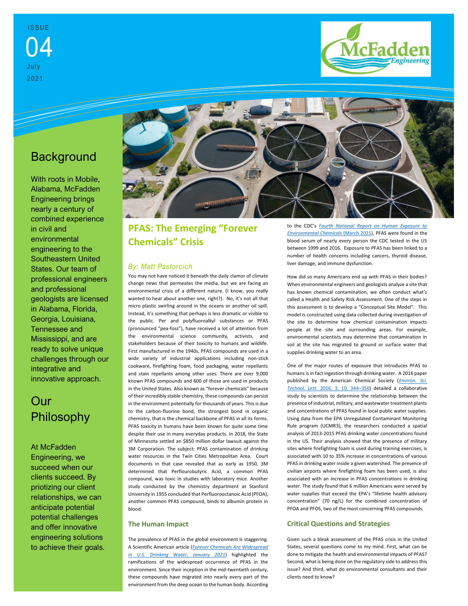

# **Background**

With roots in Mobile, Alabama, McFadden Engineering brings nearly a century of combined experience in civil and environmental engineering to the Southeastern United States. Our team of professional engineers and professional geologists are licensed in Alabama, Florida, Georgia, Louisiana, Tennessee and Mississippi, and are ready to solve unique challenges through our integrative and innovative approach.

# Our Philosophy

At McFadden Engineering, we succeed when our clients succeed. By priotizing our client relationships, we can anticipate potential potential challenges and offer innovative engineering solutions to achieve their goals.



## **PFAS: The Emerging "Forever Chemicals" Crisis**

### *By: Matt Pastorcich*

You may not have noticed it beneath the daily clamor of climate change news that permeates the media, but we are facing an environmental crisis of a different nature. (I know, you really wanted to hear about another one, right?). No, it's not all that micro plastic swirling around in the oceans or another oil spill. Instead, it's something that perhaps is less dramatic or visible to the public. Per and polyfluoroalkyl substances or PFAS (pronounced "pea-foss"), have received a lot of attention from the environmental science community, activists, and stakeholders because of their toxicity to humans and wildlife. First manufactured in the 1940s, PFAS compounds are used in a wide variety of industrial applications including non-stick cookware, firefighting foam, food packaging, water repellants and stain repellants among other uses. There are over 9,000 known PFAS compounds and 600 of those are used in products in the United States. Also known as "forever chemicals" because of their incredibly stable chemistry, these compounds can persist in the environment potentially for thousands of years. This is due to the carbon-fluorine bond, the strongest bond in organic chemistry, that is the chemical backbone of PFAS in all its forms. PFAS toxicity in humans have been known for quite some time despite their use in many everyday products. In 2018, the State of Minnesota settled an \$850 million dollar lawsuit against the 3M Corporation. The subject: PFAS contamination of drinking water resources in the Twin Cities Metropolitan Area. Court documents in that case revealed that as early as 1950, 3M determined that Perflourobutyric Acid, a common PFAS compound, was toxic in studies with laboratory mice. Another study conducted by the chemistry department at Stanford University in 1955 concluded that Perfluorooctanoic Acid (PFOA), another common PFAS compound, binds to albumin protein in blood.

### **The Human Impact**

The prevalence of PFAS in the global environment is staggering. A Scientific American article (*[Forever Chemicals Are Widespread](https://www.scientificamerican.com/article/forever-chemicals-are-widespread-in-u-s-drinking-water)  [in U.S. Drinking Water, January 2021](https://www.scientificamerican.com/article/forever-chemicals-are-widespread-in-u-s-drinking-water)*) highlighted the ramifications of the widespread occurrence of PFAS in the environment. Since their inception in the mid-twentieth century, these compounds have migrated into nearly every part of the environment from the deep ocean to the human body. According to the CDC's *Fourth [National Report on Human Exposure to](https://www.cdc.gov/exposurereport/index.html)  [Environmental Chemicals](https://www.cdc.gov/exposurereport/index.html)* (March 2021), PFAS were found in the blood serum of nearly every person the CDC tested in the US between 1999 and 2016. Exposure to PFAS has been linked to a number of health concerns including cancers, thyroid disease, liver damage, and immune dysfunction.

How did so many Americans end up with PFAS in their bodies? When environmental engineers and geologists analyze a site that has known chemical contamination, we often conduct what's called a Health and Safety Risk Assessment. One of the steps in this assessment is to develop a "Conceptual Site Model". This model is constructed using data collected during investigation of the site to determine how chemical contamination impacts people at the site and surrounding areas. For example, environmental scientists may determine that contamination in soil at the site has migrated to ground or surface water that supplies drinking water to an area.

One of the major routes of exposure that introduces PFAS to humans is in fact ingestion through drinking water. A 2016 paper published by the American Chemical Society (*[Environ. Sci.](https://pubs.acs.org/doi/abs/10.1021/acs.estlett.6b00260)  Technol. Lett.* [2016, 3, 10, 344](https://pubs.acs.org/doi/abs/10.1021/acs.estlett.6b00260)–350) detailed a collaborative study by scientists to determine the relationship between the presence of industrial, military, and wastewater treatment plants and concentrations of PFAS found in local public water supplies. Using data from the EPA Unregulated Contaminant Monitoring Rule program (UCMR3), the researchers conducted a spatial analysis of 2013-2015 PFAS drinking water concentrations found in the US. Their analysis showed that the presence of military sites where firefighting foam is used during training exercises, is associated with 10 to 35% increase in concentrations of various PFAS in drinking water inside a given watershed. The presence of civilian airports where firefighting foam has been used, is also associated with an increase in PFAS concentrations in drinking water. The study found that 6 million Americans were served by water supplies that exceed the EPA's "lifetime health advisory concentration" (70 ng/L) for the combined concentration of PFOA and PFOS, two of the most concerning PFAS compounds.

## **Critical Questions and Strategies**

Given such a bleak assessment of the PFAS crisis in the United States, several questions come to my mind. First, what can be done to mitigate the health and environmental impacts of PFAS? Second, what is being done on the regulatory side to address this issue? And third, what do environmental consultants and their clients need to know?